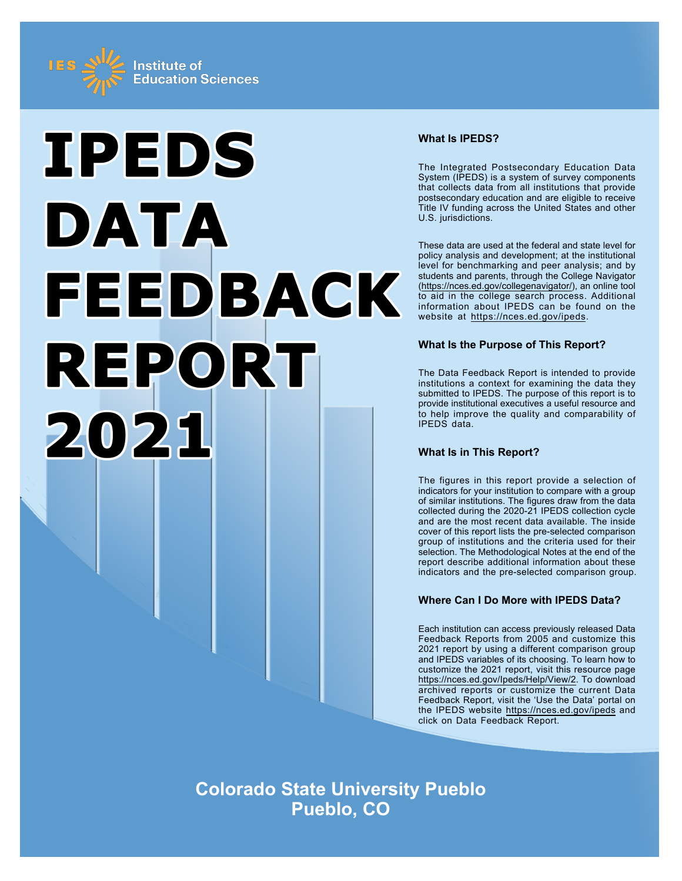



## **What Is IPEDS?**

The Integrated Postsecondary Education Data System (IPEDS) is a system of survey components that collects data from all institutions that provide postsecondary education and are eligible to receive Title IV funding across the United States and other U.S. jurisdictions.

These data are used at the federal and state level for policy analysis and development; at the institutional level for benchmarking and peer analysis; and by students and parents, through the College Navigator ([https://nces.ed.gov/collegenavigator/\)](https://nces.ed.gov/collegenavigator/), an online tool to aid in the college search process. Additional information about IPEDS can be found on the website at<https://nces.ed.gov/ipeds>.

# **What Is the Purpose of This Report?**

The Data Feedback Report is intended to provide institutions a context for examining the data they submitted to IPEDS. The purpose of this report is to provide institutional executives a useful resource and to help improve the quality and comparability of IPEDS data.

# **What Is in This Report?**

The figures in this report provide a selection of indicators for your institution to compare with a group of similar institutions. The figures draw from the data collected during the 2020-21 IPEDS collection cycle and are the most recent data available. The inside cover of this report lists the pre-selected comparison group of institutions and the criteria used for their selection. The Methodological Notes at the end of the report describe additional information about these indicators and the pre-selected comparison group.

# **Where Can I Do More with IPEDS Data?**

Each institution can access previously released Data Feedback Reports from 2005 and customize this 2021 report by using a different comparison group and IPEDS variables of its choosing. To learn how to customize the 2021 report, visit this resource page <https://nces.ed.gov/Ipeds/Help/View/2>. To download archived reports or customize the current Data Feedback Report, visit the 'Use the Data' portal on the IPEDS website<https://nces.ed.gov/ipeds> and click on Data Feedback Report.

**Colorado State University Pueblo Pueblo, CO**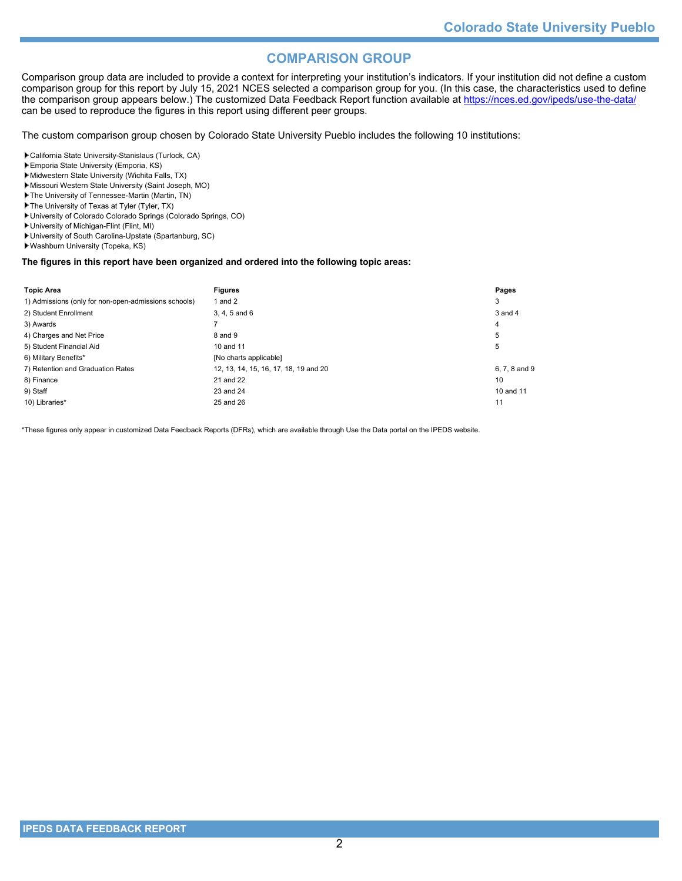# **COMPARISON GROUP**

Comparison group data are included to provide a context for interpreting your institution's indicators. If your institution did not define a custom comparison group for this report by July 15, 2021 NCES selected a comparison group for you. (In this case, the characteristics used to define the comparison group appears below.) The customized Data Feedback Report function available at<https://nces.ed.gov/ipeds/use-the-data/> can be used to reproduce the figures in this report using different peer groups.

The custom comparison group chosen by Colorado State University Pueblo includes the following 10 institutions:

California State University-Stanislaus (Turlock, CA)

- Emporia State University (Emporia, KS)
- Midwestern State University (Wichita Falls, TX)
- Missouri Western State University (Saint Joseph, MO)
- The University of Tennessee-Martin (Martin, TN)
- The University of Texas at Tyler (Tyler, TX)
- University of Colorado Colorado Springs (Colorado Springs, CO)
- University of Michigan-Flint (Flint, MI)
- University of South Carolina-Upstate (Spartanburg, SC) Washburn University (Topeka, KS)

# **The figures in this report have been organized and ordered into the following topic areas:**

| <b>Topic Area</b>                                    | <b>Figures</b>                        | Pages         |
|------------------------------------------------------|---------------------------------------|---------------|
| 1) Admissions (only for non-open-admissions schools) | 1 and 2                               | 3             |
| 2) Student Enrollment                                | $3, 4, 5$ and $6$                     | 3 and 4       |
| 3) Awards                                            |                                       | 4             |
| 4) Charges and Net Price                             | 8 and 9                               | 5             |
| 5) Student Financial Aid                             | 10 and 11                             | 5             |
| 6) Military Benefits*                                | [No charts applicable]                |               |
| 7) Retention and Graduation Rates                    | 12, 13, 14, 15, 16, 17, 18, 19 and 20 | 6, 7, 8 and 9 |
| 8) Finance                                           | 21 and 22                             | 10            |
| 9) Staff                                             | 23 and 24                             | 10 and 11     |
| 10) Libraries*                                       | 25 and 26                             | 11            |

\*These figures only appear in customized Data Feedback Reports (DFRs), which are available through Use the Data portal on the IPEDS website.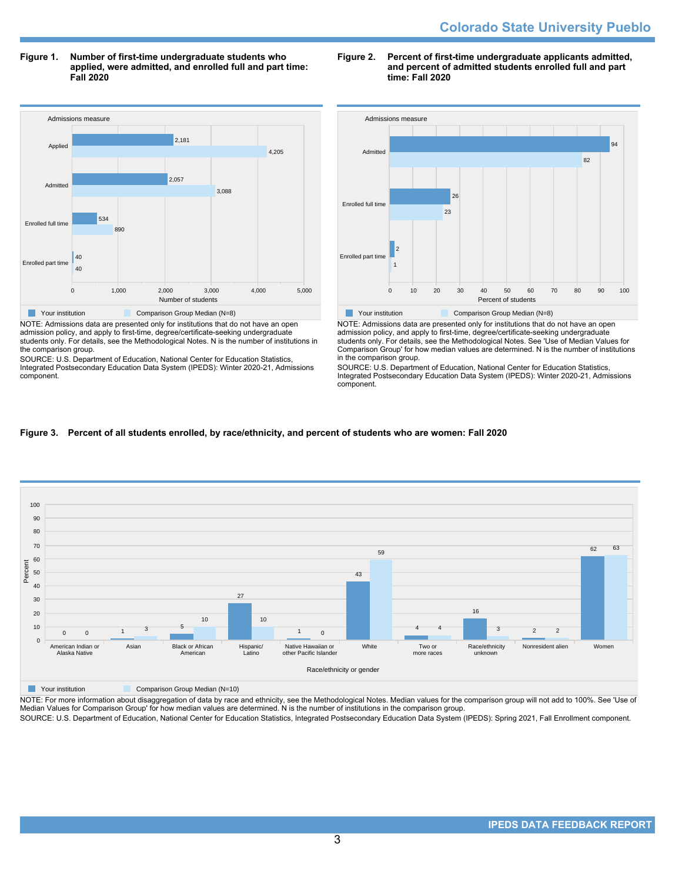**Figure 1. Number of first-time undergraduate students who applied, were admitted, and enrolled full and part time: Fall 2020**



NOTE: Admissions data are presented only for institutions that do not have an open admission policy, and apply to first-time, degree/certificate-seeking undergraduate students only. For details, see the Methodological Notes. N is the number of institutions in the comparison group.

SOURCE: U.S. Department of Education, National Center for Education Statistics, Integrated Postsecondary Education Data System (IPEDS): Winter 2020-21, Admissions component.

### **Figure 2. Percent of first-time undergraduate applicants admitted, and percent of admitted students enrolled full and part time: Fall 2020**



NOTE: Admissions data are presented only for institutions that do not have an open admission policy, and apply to first-time, degree/certificate-seeking undergraduate students only. For details, see the Methodological Notes. See 'Use of Median Values for Comparison Group' for how median values are determined. N is the number of institutions in the comparison group.

SOURCE: U.S. Department of Education, National Center for Education Statistics, Integrated Postsecondary Education Data System (IPEDS): Winter 2020-21, Admissions component.

# **Figure 3. Percent of all students enrolled, by race/ethnicity, and percent of students who are women: Fall 2020**



**The Comparison Group Median (N=10)** Comparison Group Median (N=10)

NOTE: For more information about disaggregation of data by race and ethnicity, see the Methodological Notes. Median values for the comparison group will not add to 100%. See 'Use of<br>Median Values for Comparison Group' for

SOURCE: U.S. Department of Education, National Center for Education Statistics, Integrated Postsecondary Education Data System (IPEDS): Spring 2021, Fall Enrollment component.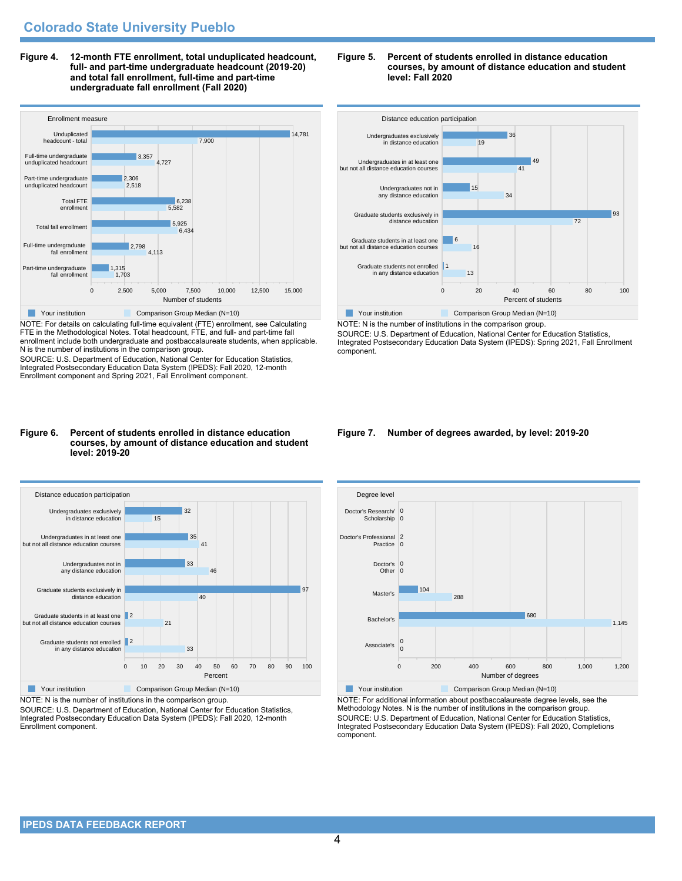**Figure 4. 12-month FTE enrollment, total unduplicated headcount, full- and part-time undergraduate headcount (2019-20) and total fall enrollment, full-time and part-time undergraduate fall enrollment (Fall 2020)**



NOTE: For details on calculating full-time equivalent (FTE) enrollment, see Calculating FTE in the Methodological Notes. Total headcount, FTE, and full- and part-time fall enrollment include both undergraduate and postbaccalaureate students, when applicable. N is the number of institutions in the comparison group.

SOURCE: U.S. Department of Education, National Center for Education Statistics, Integrated Postsecondary Education Data System (IPEDS): Fall 2020, 12-month Enrollment component and Spring 2021, Fall Enrollment component.

#### **Figure 6. Percent of students enrolled in distance education courses, by amount of distance education and student level: 2019-20**



NOTE: N is the number of institutions in the comparison group.

SOURCE: U.S. Department of Education, National Center for Education Statistics, Integrated Postsecondary Education Data System (IPEDS): Fall 2020, 12-month Enrollment component.





NOTE: N is the number of institutions in the comparison group. SOURCE: U.S. Department of Education, National Center for Education Statistics, Integrated Postsecondary Education Data System (IPEDS): Spring 2021, Fall Enrollment component.

#### **Figure 7. Number of degrees awarded, by level: 2019-20**



NOTE: For additional information about postbaccalaureate degree levels, see the Methodology Notes. N is the number of institutions in the comparison group. SOURCE: U.S. Department of Education, National Center for Education Statistics, Integrated Postsecondary Education Data System (IPEDS): Fall 2020, Completions component.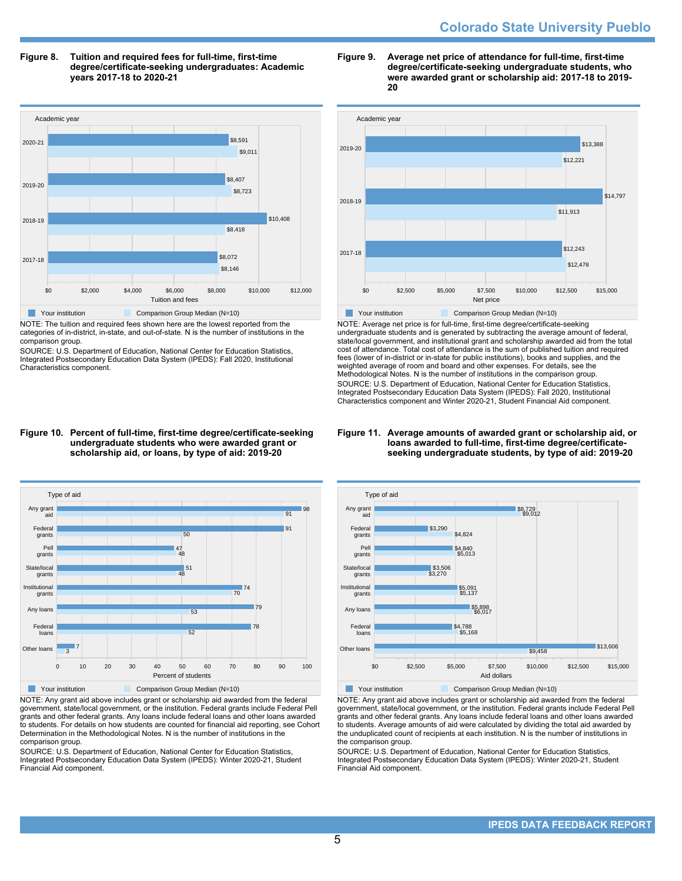**Figure 8. Tuition and required fees for full-time, first-time degree/certificate-seeking undergraduates: Academic years 2017-18 to 2020-21**



NOTE: The tuition and required fees shown here are the lowest reported from the categories of in-district, in-state, and out-of-state. N is the number of institutions in the comparison group.

SOURCE: U.S. Department of Education, National Center for Education Statistics, Integrated Postsecondary Education Data System (IPEDS): Fall 2020, Institutional Characteristics component.





NOTE: Average net price is for full-time, first-time degree/certificate-seeking undergraduate students and is generated by subtracting the average amount of federal, state/local government, and institutional grant and scholarship awarded aid from the total cost of attendance. Total cost of attendance is the sum of published tuition and required fees (lower of in-district or in-state for public institutions), books and supplies, and the weighted average of room and board and other expenses. For details, see the Methodological Notes. N is the number of institutions in the comparison group. SOURCE: U.S. Department of Education, National Center for Education Statistics, Integrated Postsecondary Education Data System (IPEDS): Fall 2020, Institutional Characteristics component and Winter 2020-21, Student Financial Aid component.

#### **Figure 11. Average amounts of awarded grant or scholarship aid, or loans awarded to full-time, first-time degree/certificateseeking undergraduate students, by type of aid: 2019-20**



NOTE: Any grant aid above includes grant or scholarship aid awarded from the federal government, state/local government, or the institution. Federal grants include Federal Pell grants and other federal grants. Any loans include federal loans and other loans awarded to students. For details on how students are counted for financial aid reporting, see Cohort Determination in the Methodological Notes. N is the number of institutions in the comparison group.

SOURCE: U.S. Department of Education, National Center for Education Statistics, Integrated Postsecondary Education Data System (IPEDS): Winter 2020-21, Student Financial Aid component.



NOTE: Any grant aid above includes grant or scholarship aid awarded from the federal government, state/local government, or the institution. Federal grants include Federal Pell grants and other federal grants. Any loans include federal loans and other loans awarded to students. Average amounts of aid were calculated by dividing the total aid awarded by the unduplicated count of recipients at each institution. N is the number of institutions in the comparison group.

SOURCE: U.S. Department of Education, National Center for Education Statistics, Integrated Postsecondary Education Data System (IPEDS): Winter 2020-21, Student Financial Aid component.

#### **Figure 10. Percent of full-time, first-time degree/certificate-seeking undergraduate students who were awarded grant or scholarship aid, or loans, by type of aid: 2019-20**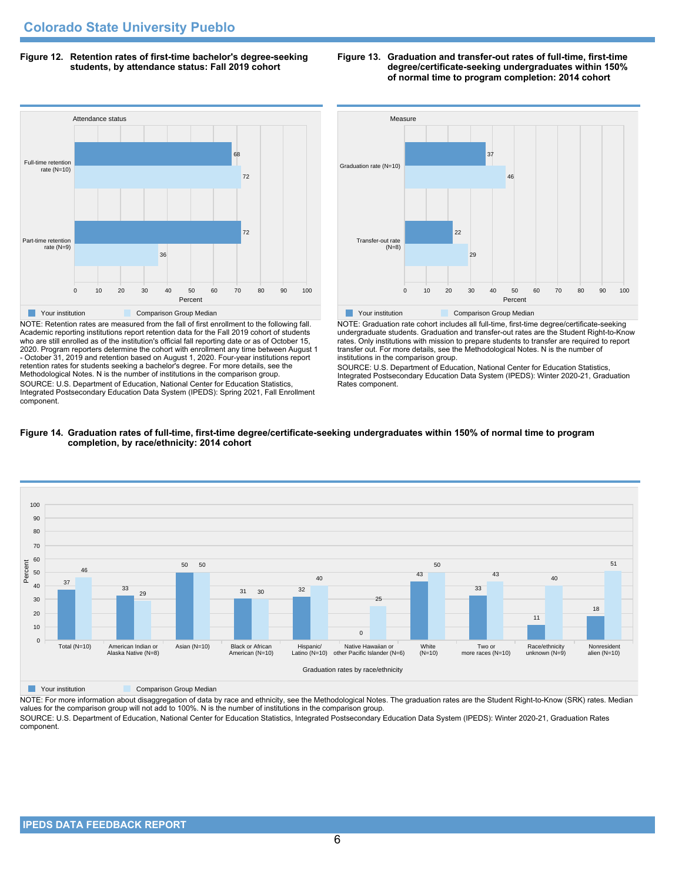**Figure 12. Retention rates of first-time bachelor's degree-seeking students, by attendance status: Fall 2019 cohort**



NOTE: Retention rates are measured from the fall of first enrollment to the following fall. Academic reporting institutions report retention data for the Fall 2019 cohort of students who are still enrolled as of the institution's official fall reporting date or as of October 15, 2020. Program reporters determine the cohort with enrollment any time between August 1 - October 31, 2019 and retention based on August 1, 2020. Four-year institutions report retention rates for students seeking a bachelor's degree. For more details, see the Methodological Notes. N is the number of institutions in the comparison group. SOURCE: U.S. Department of Education, National Center for Education Statistics, Integrated Postsecondary Education Data System (IPEDS): Spring 2021, Fall Enrollment component.



**Figure 13. Graduation and transfer-out rates of full-time, first-time**

**degree/certificate-seeking undergraduates within 150% of normal time to program completion: 2014 cohort**

NOTE: Graduation rate cohort includes all full-time, first-time degree/certificate-seeking undergraduate students. Graduation and transfer-out rates are the Student Right-to-Know rates. Only institutions with mission to prepare students to transfer are required to report transfer out. For more details, see the Methodological Notes. N is the number of institutions in the comparison group.

SOURCE: U.S. Department of Education, National Center for Education Statistics, Integrated Postsecondary Education Data System (IPEDS): Winter 2020-21, Graduation Rates component.





**The Comparison Group Median**<br> **Comparison Group Median** 

NOTE: For more information about disaggregation of data by race and ethnicity, see the Methodological Notes. The graduation rates are the Student Right-to-Know (SRK) rates. Median values for the comparison group will not add to 100%. N is the number of institutions in the comparison group.

SOURCE: U.S. Department of Education, National Center for Education Statistics, Integrated Postsecondary Education Data System (IPEDS): Winter 2020-21, Graduation Rates component.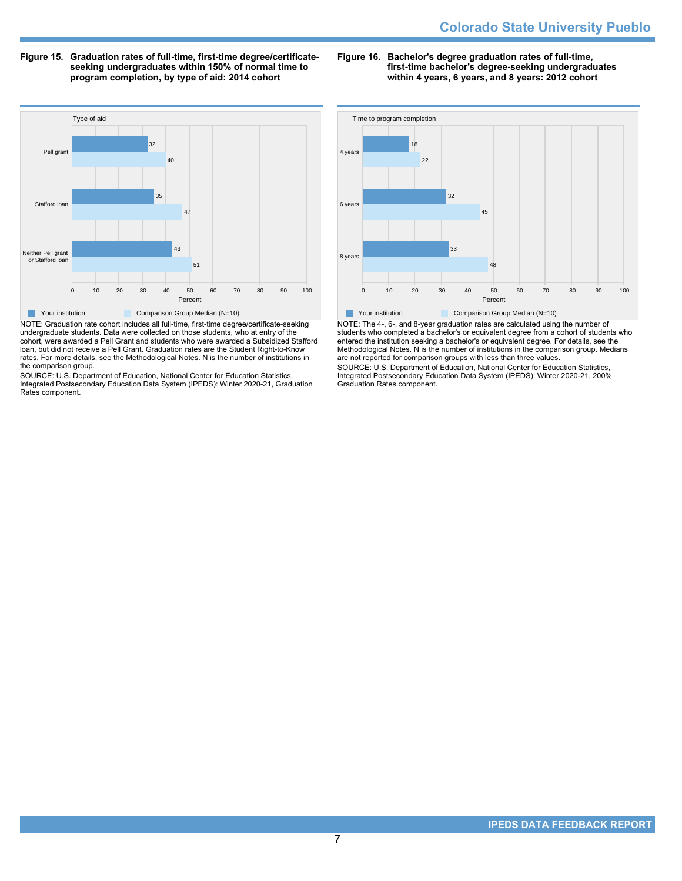**Figure 15. Graduation rates of full-time, first-time degree/certificateseeking undergraduates within 150% of normal time to program completion, by type of aid: 2014 cohort**

**Figure 16. Bachelor's degree graduation rates of full-time, first-time bachelor's degree-seeking undergraduates within 4 years, 6 years, and 8 years: 2012 cohort**



NOTE: Graduation rate cohort includes all full-time, first-time degree/certificate-seeking undergraduate students. Data were collected on those students, who at entry of the cohort, were awarded a Pell Grant and students who were awarded a Subsidized Stafford loan, but did not receive a Pell Grant. Graduation rates are the Student Right-to-Know rates. For more details, see the Methodological Notes. N is the number of institutions in the comparison group.

SOURCE: U.S. Department of Education, National Center for Education Statistics, Integrated Postsecondary Education Data System (IPEDS): Winter 2020-21, Graduation Rates component.



NOTE: The 4-, 6-, and 8-year graduation rates are calculated using the number of students who completed a bachelor's or equivalent degree from a cohort of students who entered the institution seeking a bachelor's or equivalent degree. For details, see the Methodological Notes. N is the number of institutions in the comparison group. Medians are not reported for comparison groups with less than three values.

SOURCE: U.S. Department of Education, National Center for Education Statistics, Integrated Postsecondary Education Data System (IPEDS): Winter 2020-21, 200% Graduation Rates component.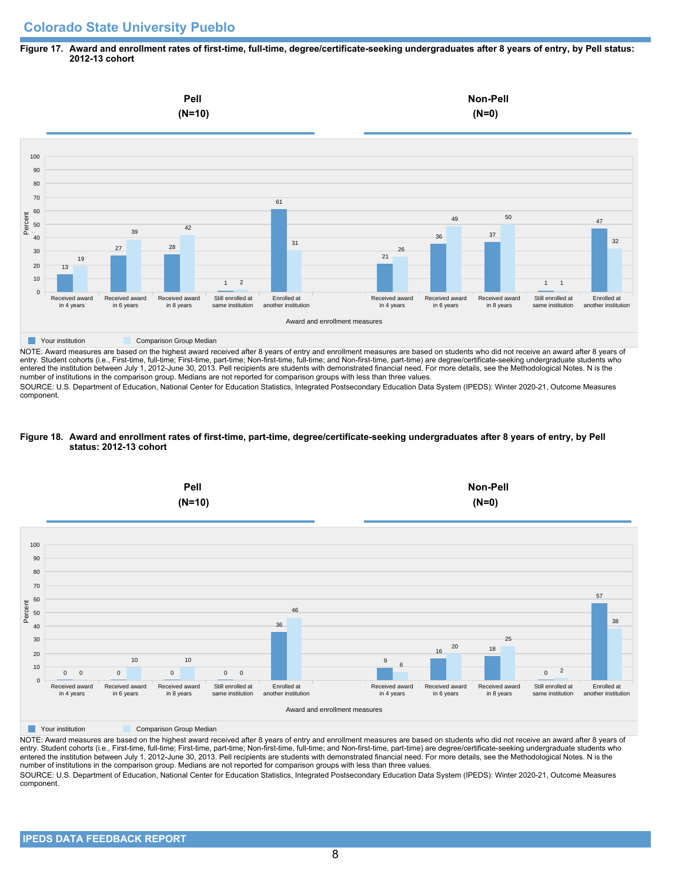# **Colorado State University Pueblo**

## **Figure 17. Award and enrollment rates of first-time, full-time, degree/certificate-seeking undergraduates after 8 years of entry, by Pell status: 2012-13 cohort**



NOTE: Award measures are based on the highest award received after 8 years of entry and enrollment measures are based on students who did not receive an award after 8 years of entry. Student cohorts (i.e., First-time, full-time; First-time, part-time; Non-first-time, full-time; and Non-first-time, part-time) are degree/certificate-seeking undergraduate students who entered the institution between July 1, 2012-June 30, 2013. Pell recipients are students with demonstrated financial need. For more details, see the Methodological Notes. N is the number of institutions in the comparison group. Medians are not reported for comparison groups with less than three values.

SOURCE: U.S. Department of Education, National Center for Education Statistics, Integrated Postsecondary Education Data System (IPEDS): Winter 2020-21, Outcome Measures component.

## **Figure 18. Award and enrollment rates of first-time, part-time, degree/certificate-seeking undergraduates after 8 years of entry, by Pell status: 2012-13 cohort**



NOTE: Award measures are based on the highest award received after 8 years of entry and enrollment measures are based on students who did not receive an award after 8 years of entry. Student cohorts (i.e., First-time, full-time; First-time, part-time; Non-first-time, full-time; and Non-first-time, part-time) are degree/certificate-seeking undergraduate students who entered the institution between July 1, 2012-June 30, 2013. Pell recipients are students with demonstrated financial need. For more details, see the Methodological Notes. N is the number of institutions in the comparison group. Medians are not reported for comparison groups with less than three values. SOURCE: U.S. Department of Education, National Center for Education Statistics, Integrated Postsecondary Education Data System (IPEDS): Winter 2020-21, Outcome Measures component.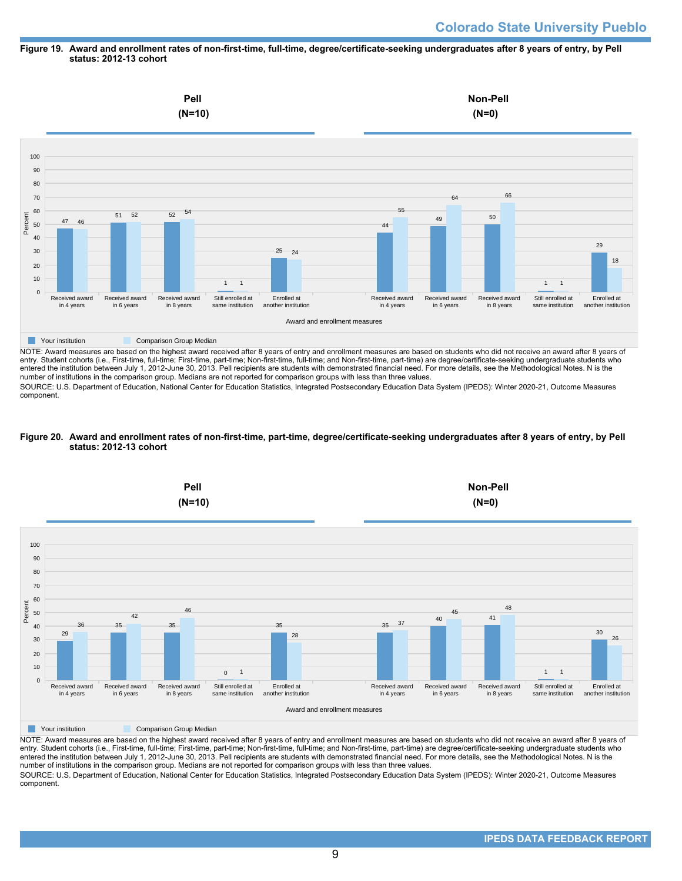#### **Figure 19. Award and enrollment rates of non-first-time, full-time, degree/certificate-seeking undergraduates after 8 years of entry, by Pell status: 2012-13 cohort**



NOTE: Award measures are based on the highest award received after 8 years of entry and enrollment measures are based on students who did not receive an award after 8 years of entry. Student cohorts (i.e., First-time, full-time; First-time, part-time; Non-first-time, full-time; and Non-first-time, part-time) are degree/certificate-seeking undergraduate students who entered the institution between July 1, 2012-June 30, 2013. Pell recipients are students with demonstrated financial need. For more details, see the Methodological Notes. N is the number of institutions in the comparison group. Medians are not reported for comparison groups with less than three values.

SOURCE: U.S. Department of Education, National Center for Education Statistics, Integrated Postsecondary Education Data System (IPEDS): Winter 2020-21, Outcome Measures component.

### **Figure 20. Award and enrollment rates of non-first-time, part-time, degree/certificate-seeking undergraduates after 8 years of entry, by Pell status: 2012-13 cohort**



NOTE: Award measures are based on the highest award received after 8 years of entry and enrollment measures are based on students who did not receive an award after 8 years of entry. Student cohorts (i.e., First-time, full-time; First-time, part-time; Non-first-time, full-time; and Non-first-time, part-time) are degree/certificate-seeking undergraduate students who entered the institution between July 1, 2012-June 30, 2013. Pell recipients are students with demonstrated financial need. For more details, see the Methodological Notes. N is the number of institutions in the comparison group. Medians are not reported for comparison groups with less than three values. SOURCE: U.S. Department of Education, National Center for Education Statistics, Integrated Postsecondary Education Data System (IPEDS): Winter 2020-21, Outcome Measures component.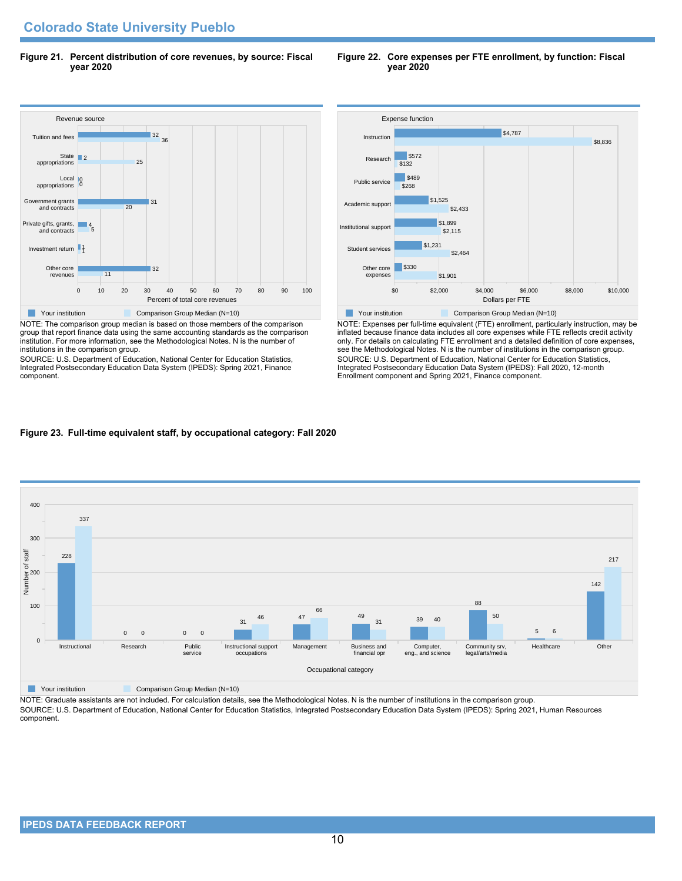**Figure 21. Percent distribution of core revenues, by source: Fiscal year 2020**

#### **Figure 22. Core expenses per FTE enrollment, by function: Fiscal year 2020**



NOTE: The comparison group median is based on those members of the comparison group that report finance data using the same accounting standards as the comparison institution. For more information, see the Methodological Notes. N is the number of institutions in the comparison group.

SOURCE: U.S. Department of Education, National Center for Education Statistics, Integrated Postsecondary Education Data System (IPEDS): Spring 2021, Finance component.



NOTE: Expenses per full-time equivalent (FTE) enrollment, particularly instruction, may be inflated because finance data includes all core expenses while FTE reflects credit activity only. For details on calculating FTE enrollment and a detailed definition of core expenses, see the Methodological Notes. N is the number of institutions in the comparison group. SOURCE: U.S. Department of Education, National Center for Education Statistics, Integrated Postsecondary Education Data System (IPEDS): Fall 2020, 12-month Enrollment component and Spring 2021, Finance component.

## **Figure 23. Full-time equivalent staff, by occupational category: Fall 2020**



**The Comparison Group Median (N=10)** Comparison Group Median (N=10)

NOTE: Graduate assistants are not included. For calculation details, see the Methodological Notes. N is the number of institutions in the comparison group. SOURCE: U.S. Department of Education, National Center for Education Statistics, Integrated Postsecondary Education Data System (IPEDS): Spring 2021, Human Resources component.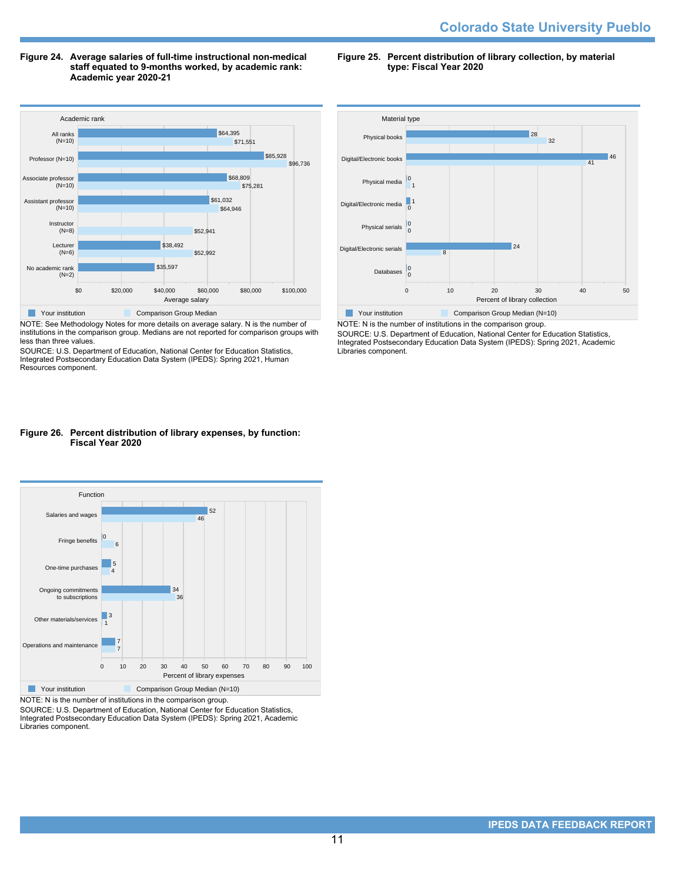**Figure 24. Average salaries of full-time instructional non-medical staff equated to 9-months worked, by academic rank: Academic year 2020-21**



NOTE: See Methodology Notes for more details on average salary. N is the number of institutions in the comparison group. Medians are not reported for comparison groups with less than three values.

SOURCE: U.S. Department of Education, National Center for Education Statistics, Integrated Postsecondary Education Data System (IPEDS): Spring 2021, Human Resources component.

## **Figure 26. Percent distribution of library expenses, by function: Fiscal Year 2020**



NOTE: N is the number of institutions in the comparison group.

SOURCE: U.S. Department of Education, National Center for Education Statistics, Integrated Postsecondary Education Data System (IPEDS): Spring 2021, Academic Libraries component.

**Figure 25. Percent distribution of library collection, by material type: Fiscal Year 2020**



NOTE: N is the number of institutions in the comparison group. SOURCE: U.S. Department of Education, National Center for Education Statistics, Integrated Postsecondary Education Data System (IPEDS): Spring 2021, Academic Libraries component.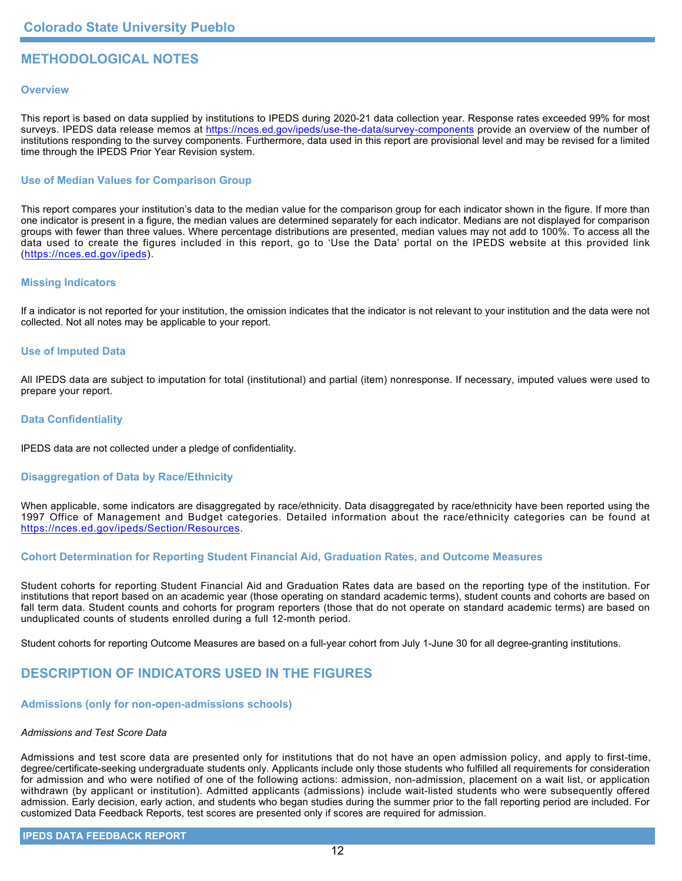# **METHODOLOGICAL NOTES**

## **Overview**

This report is based on data supplied by institutions to IPEDS during 2020-21 data collection year. Response rates exceeded 99% for most surveys. IPEDS data release memos at <https://nces.ed.gov/ipeds/use-the-data/survey-components> provide an overview of the number of institutions responding to the survey components. Furthermore, data used in this report are provisional level and may be revised for a limited time through the IPEDS Prior Year Revision system.

## **Use of Median Values for Comparison Group**

This report compares your institution's data to the median value for the comparison group for each indicator shown in the figure. If more than one indicator is present in a figure, the median values are determined separately for each indicator. Medians are not displayed for comparison groups with fewer than three values. Where percentage distributions are presented, median values may not add to 100%. To access all the data used to create the figures included in this report, go to 'Use the Data' portal on the IPEDS website at this provided link (<https://nces.ed.gov/ipeds>).

## **Missing Indicators**

If a indicator is not reported for your institution, the omission indicates that the indicator is not relevant to your institution and the data were not collected. Not all notes may be applicable to your report.

### **Use of Imputed Data**

All IPEDS data are subject to imputation for total (institutional) and partial (item) nonresponse. If necessary, imputed values were used to prepare your report.

## **Data Confidentiality**

IPEDS data are not collected under a pledge of confidentiality.

# **Disaggregation of Data by Race/Ethnicity**

When applicable, some indicators are disaggregated by race/ethnicity. Data disaggregated by race/ethnicity have been reported using the 1997 Office of Management and Budget categories. Detailed information about the race/ethnicity categories can be found at <https://nces.ed.gov/ipeds/Section/Resources>.

## **Cohort Determination for Reporting Student Financial Aid, Graduation Rates, and Outcome Measures**

Student cohorts for reporting Student Financial Aid and Graduation Rates data are based on the reporting type of the institution. For institutions that report based on an academic year (those operating on standard academic terms), student counts and cohorts are based on fall term data. Student counts and cohorts for program reporters (those that do not operate on standard academic terms) are based on unduplicated counts of students enrolled during a full 12-month period.

Student cohorts for reporting Outcome Measures are based on a full-year cohort from July 1-June 30 for all degree-granting institutions.

# **DESCRIPTION OF INDICATORS USED IN THE FIGURES**

### **Admissions (only for non-open-admissions schools)**

### *Admissions and Test Score Data*

Admissions and test score data are presented only for institutions that do not have an open admission policy, and apply to first-time, degree/certificate-seeking undergraduate students only. Applicants include only those students who fulfilled all requirements for consideration for admission and who were notified of one of the following actions: admission, non-admission, placement on a wait list, or application withdrawn (by applicant or institution). Admitted applicants (admissions) include wait-listed students who were subsequently offered admission. Early decision, early action, and students who began studies during the summer prior to the fall reporting period are included. For customized Data Feedback Reports, test scores are presented only if scores are required for admission.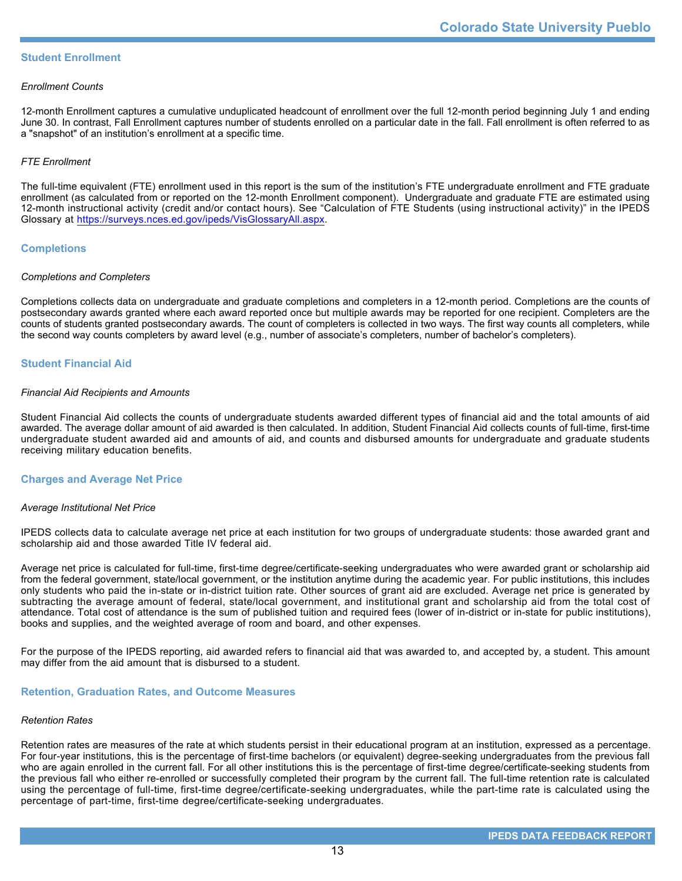## **Student Enrollment**

### *Enrollment Counts*

12-month Enrollment captures a cumulative unduplicated headcount of enrollment over the full 12-month period beginning July 1 and ending June 30. In contrast, Fall Enrollment captures number of students enrolled on a particular date in the fall. Fall enrollment is often referred to as a "snapshot" of an institution's enrollment at a specific time.

## *FTE Enrollment*

The full-time equivalent (FTE) enrollment used in this report is the sum of the institution's FTE undergraduate enrollment and FTE graduate enrollment (as calculated from or reported on the 12-month Enrollment component). Undergraduate and graduate FTE are estimated using 12-month instructional activity (credit and/or contact hours). See "Calculation of FTE Students (using instructional activity)" in the IPEDS Glossary at <https://surveys.nces.ed.gov/ipeds/VisGlossaryAll.aspx>.

## **Completions**

## *Completions and Completers*

Completions collects data on undergraduate and graduate completions and completers in a 12-month period. Completions are the counts of postsecondary awards granted where each award reported once but multiple awards may be reported for one recipient. Completers are the counts of students granted postsecondary awards. The count of completers is collected in two ways. The first way counts all completers, while the second way counts completers by award level (e.g., number of associate's completers, number of bachelor's completers).

## **Student Financial Aid**

#### *Financial Aid Recipients and Amounts*

Student Financial Aid collects the counts of undergraduate students awarded different types of financial aid and the total amounts of aid awarded. The average dollar amount of aid awarded is then calculated. In addition, Student Financial Aid collects counts of full-time, first-time undergraduate student awarded aid and amounts of aid, and counts and disbursed amounts for undergraduate and graduate students receiving military education benefits.

### **Charges and Average Net Price**

## *Average Institutional Net Price*

IPEDS collects data to calculate average net price at each institution for two groups of undergraduate students: those awarded grant and scholarship aid and those awarded Title IV federal aid.

Average net price is calculated for full-time, first-time degree/certificate-seeking undergraduates who were awarded grant or scholarship aid from the federal government, state/local government, or the institution anytime during the academic year. For public institutions, this includes only students who paid the in-state or in-district tuition rate. Other sources of grant aid are excluded. Average net price is generated by subtracting the average amount of federal, state/local government, and institutional grant and scholarship aid from the total cost of attendance. Total cost of attendance is the sum of published tuition and required fees (lower of in-district or in-state for public institutions), books and supplies, and the weighted average of room and board, and other expenses.

For the purpose of the IPEDS reporting, aid awarded refers to financial aid that was awarded to, and accepted by, a student. This amount may differ from the aid amount that is disbursed to a student.

### **Retention, Graduation Rates, and Outcome Measures**

### *Retention Rates*

Retention rates are measures of the rate at which students persist in their educational program at an institution, expressed as a percentage. For four-year institutions, this is the percentage of first-time bachelors (or equivalent) degree-seeking undergraduates from the previous fall who are again enrolled in the current fall. For all other institutions this is the percentage of first-time degree/certificate-seeking students from the previous fall who either re-enrolled or successfully completed their program by the current fall. The full-time retention rate is calculated using the percentage of full-time, first-time degree/certificate-seeking undergraduates, while the part-time rate is calculated using the percentage of part-time, first-time degree/certificate-seeking undergraduates.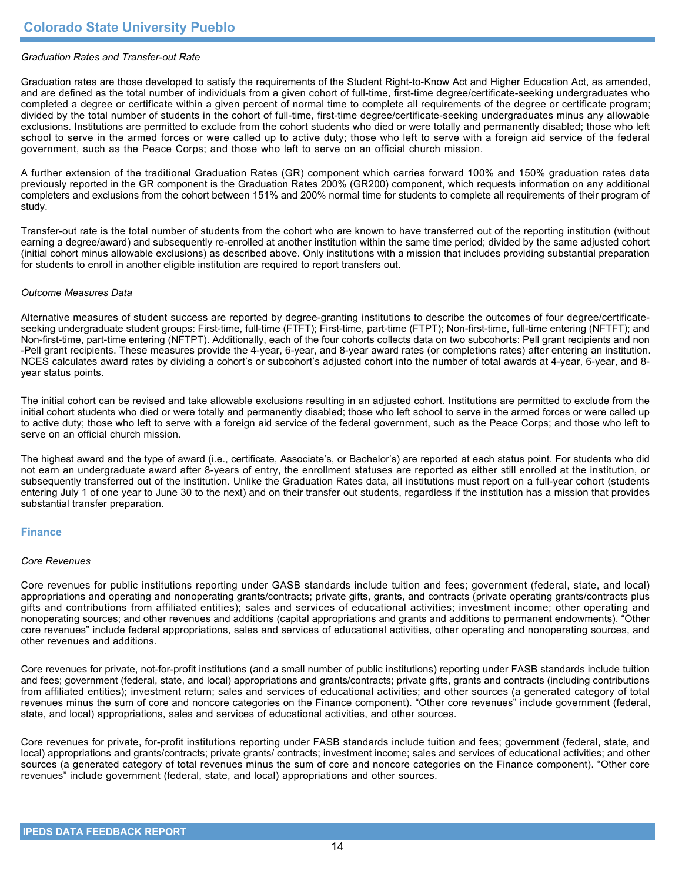## *Graduation Rates and Transfer-out Rate*

Graduation rates are those developed to satisfy the requirements of the Student Right-to-Know Act and Higher Education Act, as amended, and are defined as the total number of individuals from a given cohort of full-time, first-time degree/certificate-seeking undergraduates who completed a degree or certificate within a given percent of normal time to complete all requirements of the degree or certificate program; divided by the total number of students in the cohort of full-time, first-time degree/certificate-seeking undergraduates minus any allowable exclusions. Institutions are permitted to exclude from the cohort students who died or were totally and permanently disabled; those who left school to serve in the armed forces or were called up to active duty; those who left to serve with a foreign aid service of the federal government, such as the Peace Corps; and those who left to serve on an official church mission.

A further extension of the traditional Graduation Rates (GR) component which carries forward 100% and 150% graduation rates data previously reported in the GR component is the Graduation Rates 200% (GR200) component, which requests information on any additional completers and exclusions from the cohort between 151% and 200% normal time for students to complete all requirements of their program of study.

Transfer-out rate is the total number of students from the cohort who are known to have transferred out of the reporting institution (without earning a degree/award) and subsequently re-enrolled at another institution within the same time period; divided by the same adjusted cohort (initial cohort minus allowable exclusions) as described above. Only institutions with a mission that includes providing substantial preparation for students to enroll in another eligible institution are required to report transfers out.

### *Outcome Measures Data*

Alternative measures of student success are reported by degree-granting institutions to describe the outcomes of four degree/certificateseeking undergraduate student groups: First-time, full-time (FTFT); First-time, part-time (FTPT); Non-first-time, full-time entering (NFTFT); and Non-first-time, part-time entering (NFTPT). Additionally, each of the four cohorts collects data on two subcohorts: Pell grant recipients and non -Pell grant recipients. These measures provide the 4-year, 6-year, and 8-year award rates (or completions rates) after entering an institution. NCES calculates award rates by dividing a cohort's or subcohort's adjusted cohort into the number of total awards at 4-year, 6-year, and 8year status points.

The initial cohort can be revised and take allowable exclusions resulting in an adjusted cohort. Institutions are permitted to exclude from the initial cohort students who died or were totally and permanently disabled; those who left school to serve in the armed forces or were called up to active duty; those who left to serve with a foreign aid service of the federal government, such as the Peace Corps; and those who left to serve on an official church mission.

The highest award and the type of award (i.e., certificate, Associate's, or Bachelor's) are reported at each status point. For students who did not earn an undergraduate award after 8-years of entry, the enrollment statuses are reported as either still enrolled at the institution, or subsequently transferred out of the institution. Unlike the Graduation Rates data, all institutions must report on a full-year cohort (students entering July 1 of one year to June 30 to the next) and on their transfer out students, regardless if the institution has a mission that provides substantial transfer preparation.

### **Finance**

#### *Core Revenues*

Core revenues for public institutions reporting under GASB standards include tuition and fees; government (federal, state, and local) appropriations and operating and nonoperating grants/contracts; private gifts, grants, and contracts (private operating grants/contracts plus gifts and contributions from affiliated entities); sales and services of educational activities; investment income; other operating and nonoperating sources; and other revenues and additions (capital appropriations and grants and additions to permanent endowments). "Other core revenues" include federal appropriations, sales and services of educational activities, other operating and nonoperating sources, and other revenues and additions.

Core revenues for private, not-for-profit institutions (and a small number of public institutions) reporting under FASB standards include tuition and fees; government (federal, state, and local) appropriations and grants/contracts; private gifts, grants and contracts (including contributions from affiliated entities); investment return; sales and services of educational activities; and other sources (a generated category of total revenues minus the sum of core and noncore categories on the Finance component). "Other core revenues" include government (federal, state, and local) appropriations, sales and services of educational activities, and other sources.

Core revenues for private, for-profit institutions reporting under FASB standards include tuition and fees; government (federal, state, and local) appropriations and grants/contracts; private grants/ contracts; investment income; sales and services of educational activities; and other sources (a generated category of total revenues minus the sum of core and noncore categories on the Finance component). "Other core revenues" include government (federal, state, and local) appropriations and other sources.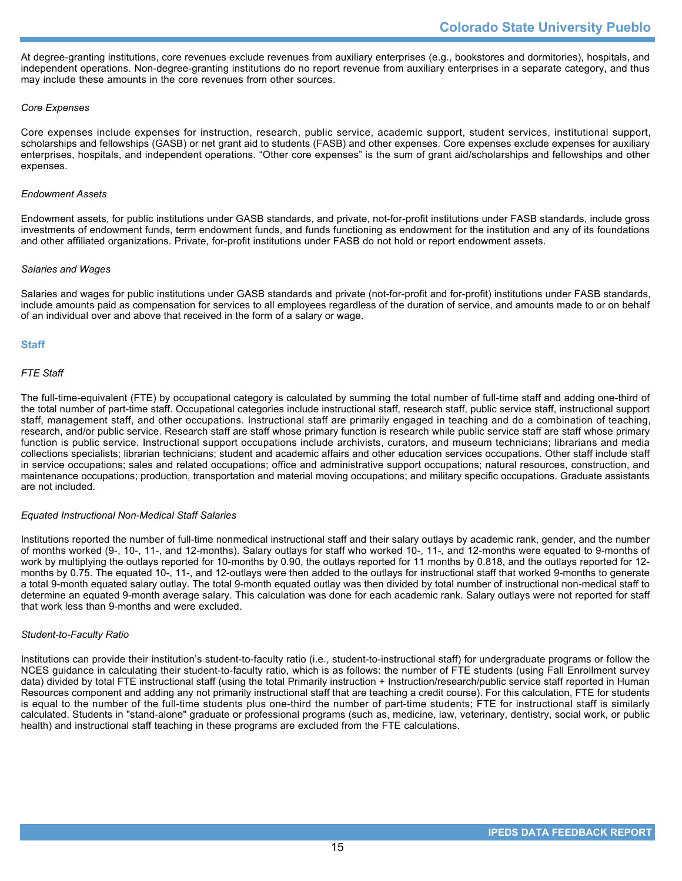At degree-granting institutions, core revenues exclude revenues from auxiliary enterprises (e.g., bookstores and dormitories), hospitals, and independent operations. Non-degree-granting institutions do no report revenue from auxiliary enterprises in a separate category, and thus may include these amounts in the core revenues from other sources.

## *Core Expenses*

Core expenses include expenses for instruction, research, public service, academic support, student services, institutional support, scholarships and fellowships (GASB) or net grant aid to students (FASB) and other expenses. Core expenses exclude expenses for auxiliary enterprises, hospitals, and independent operations. "Other core expenses" is the sum of grant aid/scholarships and fellowships and other expenses.

### *Endowment Assets*

Endowment assets, for public institutions under GASB standards, and private, not-for-profit institutions under FASB standards, include gross investments of endowment funds, term endowment funds, and funds functioning as endowment for the institution and any of its foundations and other affiliated organizations. Private, for-profit institutions under FASB do not hold or report endowment assets.

### *Salaries and Wages*

Salaries and wages for public institutions under GASB standards and private (not-for-profit and for-profit) institutions under FASB standards, include amounts paid as compensation for services to all employees regardless of the duration of service, and amounts made to or on behalf of an individual over and above that received in the form of a salary or wage.

## **Staff**

## *FTE Staff*

The full-time-equivalent (FTE) by occupational category is calculated by summing the total number of full-time staff and adding one-third of the total number of part-time staff. Occupational categories include instructional staff, research staff, public service staff, instructional support staff, management staff, and other occupations. Instructional staff are primarily engaged in teaching and do a combination of teaching, research, and/or public service. Research staff are staff whose primary function is research while public service staff are staff whose primary function is public service. Instructional support occupations include archivists, curators, and museum technicians; librarians and media collections specialists; librarian technicians; student and academic affairs and other education services occupations. Other staff include staff in service occupations; sales and related occupations; office and administrative support occupations; natural resources, construction, and maintenance occupations; production, transportation and material moving occupations; and military specific occupations. Graduate assistants are not included.

#### *Equated Instructional Non-Medical Staff Salaries*

Institutions reported the number of full-time nonmedical instructional staff and their salary outlays by academic rank, gender, and the number of months worked (9-, 10-, 11-, and 12-months). Salary outlays for staff who worked 10-, 11-, and 12-months were equated to 9-months of work by multiplying the outlays reported for 10-months by 0.90, the outlays reported for 11 months by 0.818, and the outlays reported for 12 months by 0.75. The equated 10-, 11-, and 12-outlays were then added to the outlays for instructional staff that worked 9-months to generate a total 9-month equated salary outlay. The total 9-month equated outlay was then divided by total number of instructional non-medical staff to determine an equated 9-month average salary. This calculation was done for each academic rank. Salary outlays were not reported for staff that work less than 9-months and were excluded.

#### *Student-to-Faculty Ratio*

Institutions can provide their institution's student-to-faculty ratio (i.e., student-to-instructional staff) for undergraduate programs or follow the NCES guidance in calculating their student-to-faculty ratio, which is as follows: the number of FTE students (using Fall Enrollment survey data) divided by total FTE instructional staff (using the total Primarily instruction + Instruction/research/public service staff reported in Human Resources component and adding any not primarily instructional staff that are teaching a credit course). For this calculation, FTE for students is equal to the number of the full-time students plus one-third the number of part-time students; FTE for instructional staff is similarly calculated. Students in "stand-alone" graduate or professional programs (such as, medicine, law, veterinary, dentistry, social work, or public health) and instructional staff teaching in these programs are excluded from the FTE calculations.